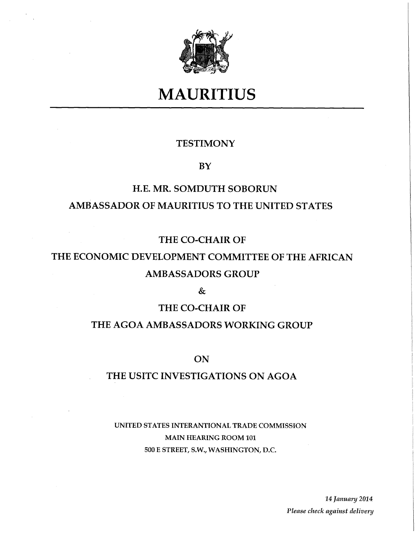

# **MAURITIUS**

## **TESTIMONY**

### **BY**

## **H.E. MR. SOMDUTH SOBORUN AMBASSADOR OF MAURITIUS TO THE UNITED STATES**

## **THE CO-CHAIR OF**

## THE ECONOMIC DEVELOPMENT COMMITTEE OF THE AFRICAN **AMBASSADORS GROUP**

**&** 

## **THE CO-CHAIR OF**

### **THE AGOA AMBASSADORS WORKING GROUP**

**ON** 

## **T HE USITC INVESTIGATIONS ON AGOA**

## **UNITED STATES INTERANTIONAL TRADE COMMISSION MAIN HEARING ROOM 101 500 E STREET, S.W., WASHINGTON, D.C.**

**14** *January 2014 Please check against delivery*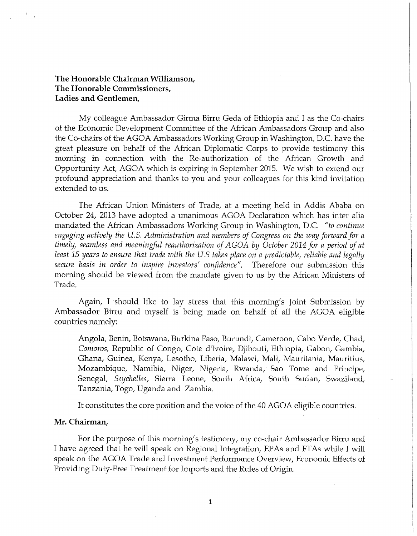**The Honorable Chairman Williamson, The Honorable Commissioners, Ladies and Gentlemen,** 

My colleague Ambassador Girma Birru Geda of Ethiopia and I as the Co-chairs of the Economic Development Committee of the African Ambassadors Group and also the Co-chairs of the AGOA Ambassadors Working Group in Washington, D.C. have the great pleasure on behalf of the African Diplomatic Corps to provide testimony this morning in connection with the Re-authorization of the African Growth and Opportunity Act, AGOA which is expiring in September 2015. We wish to extend our profound appreciation and thanks to you and your colleagues for this kind invitation extended to us.

The African Union Ministers of Trade, at a meeting held in Addis Ababa on October 24, 2013 have adopted a unanimous AGOA Declaration which has inter alia mandated the African Ambassadors Working Group in Washington, D.C. *"to continue engaging actively tlie U.S. Administration and members of Congress on the way forward for a timely, seamless and meaningful reauthorization of AGOA by October 2014 for a period of at least 15 years to ensure tliat trade with tlie U.S takes place on a predictable, reliable and legally secure basis in order to inspire investors' confidence".* Therefore our submission this morning should be viewed from the mandate given to us by the African Ministers of Trade.

Again, I should like to lay stress that this morning's Joint Submission by Ambassador Birru and myself is being made on behalf of all the AGOA eligible countries namely:

Angola, Benin, Botswana, Burkina Faso, Burundi, Cameroon, Cabo Verde, Chad, *Comoros,* Republic of Congo, Cote d'lvoire, Djibouti, Ethiopia, Gabon, Gambia, Ghana, Guinea, Kenya, Lesotho, Liberia, Malawi, Mali, Mauritania, Mauritius, Mozambique, Namibia, Niger, Nigeria, Rwanda, Sao Tome and Principe, Senegal, *Seychelles,* Sierra Leone, South Africa, South Sudan, Swaziland, Tanzania, Togo, Uganda and Zambia.

It constitutes the core position and the voice of the 40 AGOA eligible countries.

#### **Mr. Chairman,**

For the purpose of this morning's testimony, my co-chair Ambassador Birru and I have agreed that he will speak on Regional Integration, EPAs and FTAs while I will speak on the AGOA Trade and Investment Performance Overview, Economic Effects of Providing Duty-Free Treatment for Imports and the Rules of Origin.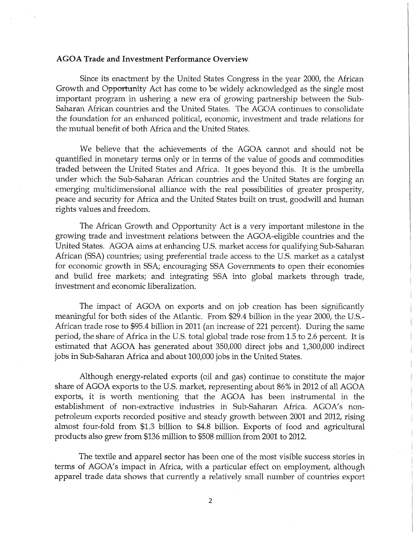#### **AGOA Trade and Investment Performance Overview**

Since its enactment by the United States Congress in the year 2000, the African Growth and Opportunity Act has come to be widely acknowledged as the single most important program in ushering a new era of growing partnership between the Sub-Saharan African countries and the United States. The AGOA continues to consolidate the foundation for an enhanced political, economic, investment and trade relations for the mutual benefit of both Africa and the United States.

We believe that the achievements of the AGOA cannot and should not be quantified in monetary terms only or in terms of the value of goods and commodities traded between the United States and Africa. It goes beyond this. It is the umbrella under which the Sub-Saharan African countries and the United States are forging an emerging multidimensional alliance with the real possibilities of greater prosperity, peace and security for Africa and the United States built on trust, goodwill and human rights values and freedom.

The African Growth and Opportunity Act is a very important milestone in the growing trade and investment relations between the AGOA-eligible countries and the United States. AGOA aims at enhancing U.S. market access for qualifying Sub-Saharan African (SSA) countries; using preferential trade access to the U.S. market as a catalyst for economic growth in SSA; encouraging SSA Governments to open their economies and build free markets; and integrating SSA into global markets through trade, investment and economic liberalization.

The impact of AGOA on exports and on job creation has been significantly meaningful for both sides of the Atlantic. From \$29.4 billion in the year 2000, the U.S.- African trade rose to \$95.4 billion in 2011 (an increase of 221 percent). During the same period, the share of Africa in the U.S. total global trade rose from 1.5 to 2.6 percent. It is estimated that AGOA has generated about 350,000 direct jobs and 1,300,000 indirect jobs in Sub-Saharan Africa and about 100,000 jobs in the United States.

Although energy-related exports (oil and gas) continue to constitute the major share of AGOA exports to the U.S. market, representing about 86% in 2012 of all AGOA exports, it is worth mentioning that the AGOA has been instrumental in the establishment of non-extractive industries in Sub-Saharan Africa. AGOA's nonpetroleum exports recorded positive and steady growth between 2001 and 2012, rising almost four-fold from \$1.3 billion to \$4.8 billion. Exports of food and agricultural products also grew from \$136 million to \$508 million from 2001 to 2012.

The textile and apparel sector has been one of the most visible success stories in terms of AGOA's impact in Africa, with a particular effect on employment, although apparel trade data shows that currently a relatively small number of countries export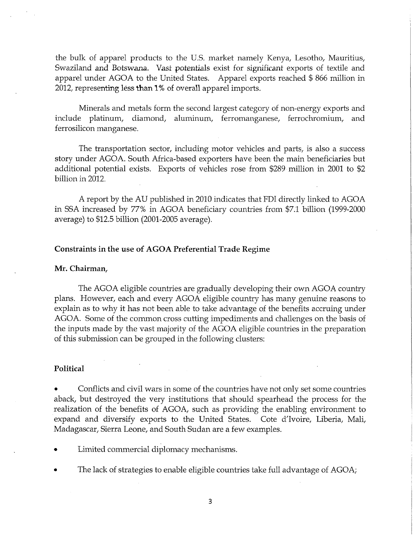the bulk of apparel products to the U.S. market namely Kenya, Lesotho, Mauritius, Swaziland and Botswana. Vast potentials exist for significant exports of textile and apparel under AGOA to the United States. Apparel exports reached \$ 866 million in 2012, representing less **than 1%** of overall apparel imports.

Minerals and metals form the second largest category of non-energy exports and include platinum, diamond, aluminum, ferromanganese, ferrochromium, and ferrosilicon manganese.

The transportation sector, including motor vehicles and parts, is also a success story under AGOA. South Africa-based exporters have been the main beneficiaries but additional potential exists. Exports of vehicles rose from \$289 million in 2001 to \$2 billion in 2012.

A report by the AU published in 2010 indicates that FDI directly linked to AGOA in SSA increased by 77% in AGOA beneficiary countries from \$7.1 billion (1999-2000) average) to \$12.5 billion (2001-2005 average).

#### **Constraints in the use of AGOA Preferential Trade Regime**

#### **Mr. Chairman,**

The AGOA eligible countries are gradually developing their own AGOA country plans. However, each and every AGOA eligible country has many genuine reasons to explain as to why it has not been able to take advantage of the benefits accruing under AGOA. Some of the common cross cutting impediments and challenges on the basis of the inputs made by the vast majority of the AGOA eligible countries in the preparation of this submission can be grouped in the following clusters:

#### **Political**

Conflicts and civil wars in some of the countries have not only set some countries aback, but destroyed the very institutions that should spearhead the process for the realization of the benefits of AGOA, such as providing the enabling environment to expand and diversify exports to the United States. Cote d'Ivoire, Liberia, Mali, Madagascar, Sierra Leone, and South Sudan are a few examples.

- Limited commercial diplomacy mechanisms.
- The lack of strategies to enable eligible countries take full advantage of AGOA;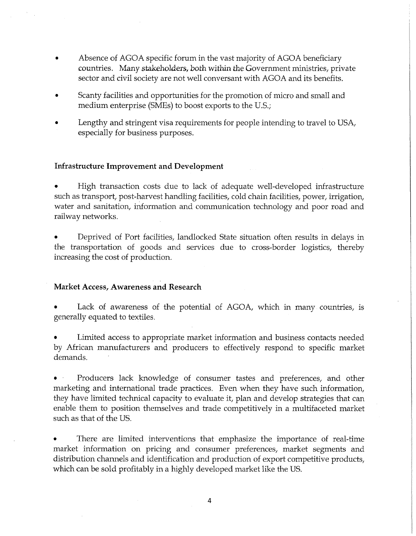- Absence of AGOA specific forum in the vast majority of AGOA beneficiary countries. Many stakeholders, both within the Government ministries, private sector and civil society are not well conversant with AGOA and its benefits.
- Scanty facilities and opportunities for the promotion of micro and small and medium enterprise (SMEs) to boost exports to the U.S.;
- Lengthy and stringent visa requirements for people intending to travel to USA, especially for business purposes.

#### **Infrastructure Improvement and Development**

• High transaction costs due to lack of adequate well-developed infrastructure such as transport, post-harvest handling facilities, cold chain facilities, power, irrigation, water and sanitation, information and communication technology and poor road and railway networks.

• Deprived of Port facilities, landlocked State situation often results in delays in the transportation of goods and services due to cross-border logistics, thereby increasing the cost of production.

#### **Market Access, Awareness and Research**

Lack of awareness of the potential of AGOA, which in many countries, is generally equated to textiles.

• Limited access to appropriate market information and business contacts needed by African manufacturers and producers to effectively respond to specific market demands.

• Producers lack knowledge of consumer tastes and preferences, and other marketing and international trade practices. Even when they have such information, they have limited technical capacity to evaluate it, plan and develop strategies that can enable them to position themselves and trade competitively in a multifaceted market such as that of the US.

There are limited interventions that emphasize the importance of real-time market information on pricing and consumer preferences, market segments and distribution channels and identification and production of export competitive products, which can be sold profitably in a highly developed market like the US.

**4**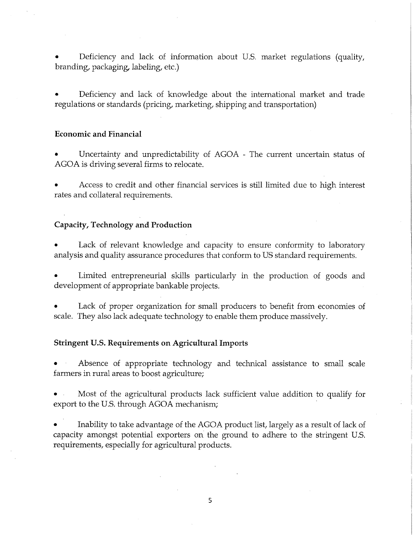• Deficiency and lack of information about U.S. market regulations (quality, branding, packaging, labeling, etc.)

• Deficiency and lack of knowledge about the international market and trade regulations or standards (pricing, marketing, shipping and transportation)

#### **Economic and Financial**

Uncertainty and unpredictability of AGOA - The current uncertain status of AGOA is driving several firms to relocate.

• Access to credit and other financial services is still limited due to high interest rates and collateral requirements.

#### **Capacity, Technology and Production**

Lack of relevant knowledge and capacity to ensure conformity to laboratory analysis and quality assurance procedures that conform to US standard requirements.

Limited entrepreneurial skills particularly in the production of goods and development of appropriate bankable projects.

Lack of proper organization for small producers to benefit from economies of scale. They also lack adequate technology to enable them produce massively.

#### **Stringent U.S. Requirements on Agricultural Imports**

Absence of appropriate technology and technical assistance to small scale farmers in rural areas to boost agriculture;

• Most of the agricultural products lack sufficient value addition to qualify for export to the U.S. through AGOA mechanism;

• Inability to take advantage of the AGOA product list, largely as a result of lack of capacity amongst potential exporters on the ground to adhere to the stringent U.S. requirements, especially for agricultural products.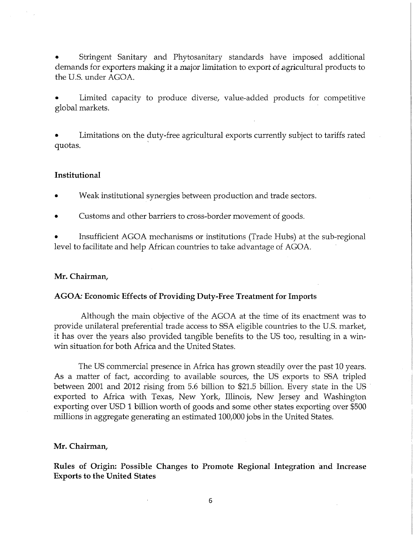• Stringent Sanitary and Phytosanitary standards have imposed additional demands for exporters making it a major limitation to export of agricultural products to the U.S. under AGOA.

Limited capacity to produce diverse, value-added products for competitive global markets.

• Limitations on the duty-free agricultural exports currently subject to tariffs rated quotas.

#### **Institutional**

• Weak institutional synergies between production and trade sectors.

• Customs and other barriers to cross-border movement of goods.

• Insufficient AGOA mechanisms or institutions (Trade Hubs) at the sub-regional level to facilitate and help African countries to take advantage of AGOA.

#### **Mr. Chairman,**

#### AGOA: Economic Effects of Providing Duty-Free Treatment for Imports

Although the main objective of the AGOA at the time of its enactment was to provide unilateral preferential trade access to SSA eligible countries to the U.S. market, it has over the years also provided tangible benefits to the US too, resulting in a winwin situation for both Africa and the United States.

The US commercial presence in Africa has grown steadily over the past 10 years. As a matter of fact, according to available sources, the US exports to SSA tripled between 2001 and 2012 rising from 5.6 billion to \$21.5 billion. Every state in the US exported to Africa with Texas, New York, Illinois, New Jersey and Washington exporting over USD 1 billion worth of goods and some other states exporting over \$500 millions in aggregate generating an estimated 100,000 jobs in the United States.

#### **Mr. Chairman,**

**Rules of Origin: Possible Changes to Promote Regional Integration and Increase Exports to the United States**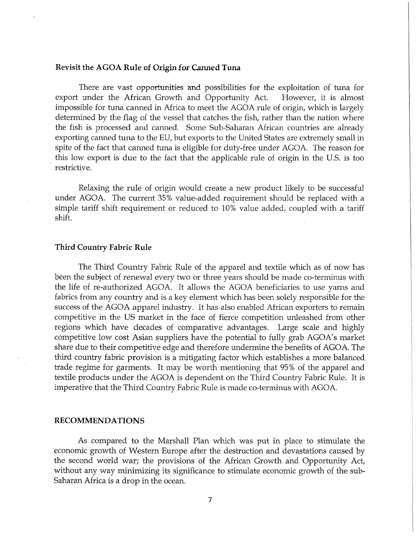#### **Revisit the AGO A Rule of Origin for Canned Tuna**

There are vast opportunities and possibilities for the exploitation of tuna for export under the African Growth and Opportunity Act. However, it is almost impossible for tuna canned in Africa to meet the AGOA rule of origin, which is largely determined by the flag of the vessel that catches the fish, rather than the nation where the fish is processed and canned. Some Sub-Saharan African countries are already exporting canned tuna to the EU, but exports to the United States are extremely small in spite of the fact that canned tuna is eligible for duty-free under AGOA. The reason for this low export is due to the fact that the applicable rule of origin in the U.S. is too restrictive.

Relaxing the rule of origin would create a new product likely to be successful under AGOA. The current 35% value-added requirement should be replaced with a simple tariff shift requirement or reduced to 10% value added, coupled with a tariff shift.

#### Third Country Fabric Rule

The Third Country Fabric Rule of the apparel and textile which as of now has been the subject of renewal every two or three years should be made co-terminus with the life of re-authorized AGOA. It allows the AGOA beneficiaries to use yarns and fabrics from any country and is a key element which has been solely responsible for the success of the AGOA apparel industry. It has also enabled African exporters to remain competitive in the US market in the face of fierce competition unleashed from other regions which have decades of comparative advantages. Large scale and highly competitive low cost Asian suppliers have the potential to fully grab AGOA's market share due to their competitive edge and therefore undermine the benefits of AGOA. The third country fabric provision is a mitigating factor which establishes a more balanced trade regime for garments. It may be worth mentioning that 95% of the apparel and textile products under the AGOA is dependent on the Third Country Fabric Rule. It is imperative that the Third Country Fabric Rule is made co-terminus with AGOA.

#### **RECOMMENDATIONS**

As compared to the Marshall Plan which was put in place to stimulate the economic growth of Western Europe after the destruction and devastations caused by the second world war; the provisions of the African Growth and Opportunity Act, without any way minimizing its significance to stimulate economic growth of the sub-Saharan Africa is a drop in the ocean.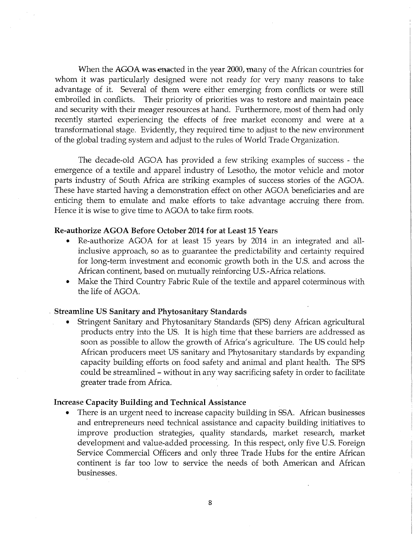When the AGOA was enacted in the year 2000, many of the African countries for whom it was particularly designed were not ready for very many reasons to take advantage of it. Several of them were either emerging from conflicts or were still embroiled in conflicts. Their priority of priorities was to restore and maintain peace and security with their meager resources at hand. Furthermore, most of them had only recently started experiencing the effects of free market economy and were at a transformational stage. Evidently, they required time to adjust to the new environment of the global trading system and adjust to the rules of World Trade Organization.

The decade-old AGOA has provided a few striking examples of success - the emergence of a textile and apparel industry of Lesotho, the motor vehicle and motor parts industry of South Africa are striking examples of success stories of the AGOA. These have started having a demonstration effect on other AGOA beneficiaries and are enticing them to emulate and make efforts to take advantage accruing there from. Hence it is wise to give time to AGOA to take firm roots.

#### **Re**-authorize **AGOA Before** October **2014 for at Least 15 Years**

- Re-authorize AGOA for at least 15 years by 2014 in an integrated and allinclusive approach, so as to guarantee the predictability and certainty required for long-term investment and economic growth both in the U.S. and across the African continent, based on mutually reinforcing U.S.-Africa relations.
- Make the Third Country Fabric Rule of the textile and apparel coterminous with the life of AGOA.

#### Streamline **US Sanitary and** Phytosanitary **Standards**

• Stringent Sanitary and Phytosanitary Standards (SPS) deny African agricultural products entry into the US. It is high time that these barriers are addressed as soon as possible to allow the growth of Africa's agriculture. The US could help African producers meet US sanitary and Phytosanitary standards by expanding capacity building efforts on food safety and animal and plant health. The SPS could be streamlined – without in any way sacrificing safety in order to facilitate greater trade from Africa.

#### **Increase Capacity Building and** Technical Assistance

• There is an urgent need to increase capacity building in SSA. African businesses and entrepreneurs need technical assistance and capacity building initiatives to improve production strategies, quality standards, market research, market development and value-added processing. In this respect, only five U.S. Foreign Service Commercial Officers and only three Trade Hubs for the entire African continent is far too low to service the needs of both American and African businesses.